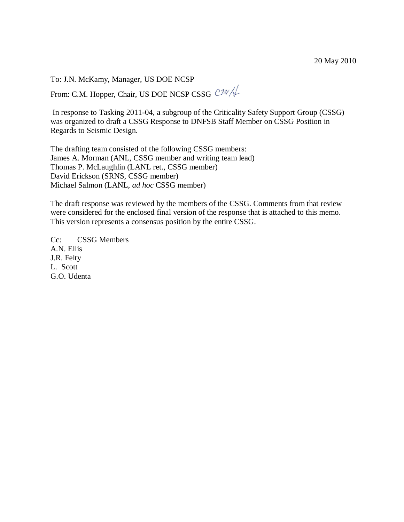To: J.N. McKamy, Manager, US DOE NCSP

From: C.M. Hopper, Chair, US DOE NCSP CSSG CM/ $\sqrt{\frac{1}{2}}$ 

In response to Tasking 2011-04, a subgroup of the Criticality Safety Support Group (CSSG) was organized to draft a CSSG Response to DNFSB Staff Member on CSSG Position in Regards to Seismic Design.

The drafting team consisted of the following CSSG members: James A. Morman (ANL, CSSG member and writing team lead) Thomas P. McLaughlin (LANL ret., CSSG member) David Erickson (SRNS, CSSG member) Michael Salmon (LANL, *ad hoc* CSSG member)

The draft response was reviewed by the members of the CSSG. Comments from that review were considered for the enclosed final version of the response that is attached to this memo. This version represents a consensus position by the entire CSSG.

Cc: CSSG Members A.N. Ellis J.R. Felty L. Scott G.O. Udenta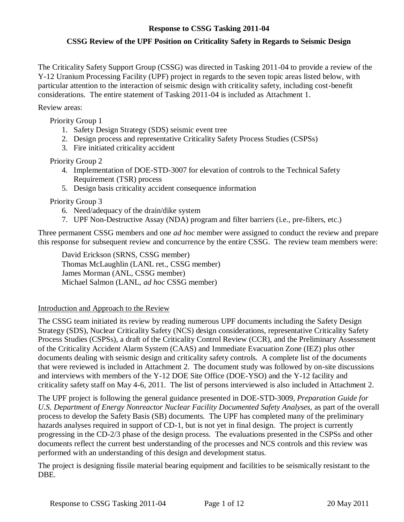# **Response to CSSG Tasking 2011-04**

# **CSSG Review of the UPF Position on Criticality Safety in Regards to Seismic Design**

The Criticality Safety Support Group (CSSG) was directed in Tasking 2011-04 to provide a review of the Y-12 Uranium Processing Facility (UPF) project in regards to the seven topic areas listed below, with particular attention to the interaction of seismic design with criticality safety, including cost-benefit considerations. The entire statement of Tasking 2011-04 is included as Attachment 1.

#### Review areas:

Priority Group 1

- 1. Safety Design Strategy (SDS) seismic event tree
- 2. Design process and representative Criticality Safety Process Studies (CSPSs)
- 3. Fire initiated criticality accident

#### Priority Group 2

- 4. Implementation of DOE-STD-3007 for elevation of controls to the Technical Safety Requirement (TSR) process
- 5. Design basis criticality accident consequence information

#### Priority Group 3

- 6. Need/adequacy of the drain/dike system
- 7. UPF Non-Destructive Assay (NDA) program and filter barriers (i.e., pre-filters, etc.)

Three permanent CSSG members and one *ad hoc* member were assigned to conduct the review and prepare this response for subsequent review and concurrence by the entire CSSG. The review team members were:

David Erickson (SRNS, CSSG member) Thomas McLaughlin (LANL ret., CSSG member) James Morman (ANL, CSSG member) Michael Salmon (LANL, *ad hoc* CSSG member)

#### Introduction and Approach to the Review

The CSSG team initiated its review by reading numerous UPF documents including the Safety Design Strategy (SDS), Nuclear Criticality Safety (NCS) design considerations, representative Criticality Safety Process Studies (CSPSs), a draft of the Criticality Control Review (CCR), and the Preliminary Assessment of the Criticality Accident Alarm System (CAAS) and Immediate Evacuation Zone (IEZ) plus other documents dealing with seismic design and criticality safety controls. A complete list of the documents that were reviewed is included in Attachment 2. The document study was followed by on-site discussions and interviews with members of the Y-12 DOE Site Office (DOE-YSO) and the Y-12 facility and criticality safety staff on May 4-6, 2011. The list of persons interviewed is also included in Attachment 2.

The UPF project is following the general guidance presented in DOE-STD-3009, *Preparation Guide for U.S. Department of Energy Nonreactor Nuclear Facility Documented Safety Analyses,* as part of the overall process to develop the Safety Basis (SB) documents*.* The UPF has completed many of the preliminary hazards analyses required in support of CD-1, but is not yet in final design. The project is currently progressing in the CD-2/3 phase of the design process. The evaluations presented in the CSPSs and other documents reflect the current best understanding of the processes and NCS controls and this review was performed with an understanding of this design and development status.

The project is designing fissile material bearing equipment and facilities to be seismically resistant to the DBE.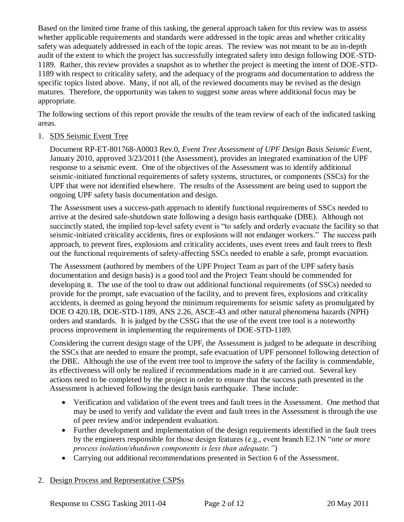Based on the limited time frame of this tasking, the general approach taken for this review was to assess whether applicable requirements and standards were addressed in the topic areas and whether criticality safety was adequately addressed in each of the topic areas. The review was not meant to be an in-depth audit of the extent to which the project has successfully integrated safety into design following DOE-STD-1189. Rather, this review provides a snapshot as to whether the project is meeting the intent of DOE-STD-1189 with respect to criticality safety, and the adequacy of the programs and documentation to address the specific topics listed above. Many, if not all, of the reviewed documents may be revised as the design matures. Therefore, the opportunity was taken to suggest some areas where additional focus may be appropriate.

The following sections of this report provide the results of the team review of each of the indicated tasking areas.

# 1. SDS Seismic Event Tree

Document RP-ET-801768-A0003 Rev.0, *Event Tree Assessment of UPF Design Basis Seismic Event*, January 2010, approved 3/23/2011 (the Assessment), provides an integrated examination of the UPF response to a seismic event. One of the objectives of the Assessment was to identify additional seismic-initiated functional requirements of safety systems, structures, or components (SSCs) for the UPF that were not identified elsewhere. The results of the Assessment are being used to support the ongoing UPF safety basis documentation and design.

The Assessment uses a success-path approach to identify functional requirements of SSCs needed to arrive at the desired safe-shutdown state following a design basis earthquake (DBE). Although not succinctly stated, the implied top-level safety event is "to safely and orderly evacuate the facility so that seismic-initiated criticality accidents, fires or explosions will not endanger workers." The success path approach, to prevent fires, explosions and criticality accidents, uses event trees and fault trees to flesh out the functional requirements of safety-affecting SSCs needed to enable a safe, prompt evacuation.

The Assessment (authored by members of the UPF Project Team as part of the UPF safety basis documentation and design basis) is a good tool and the Project Team should be commended for developing it. The use of the tool to draw out additional functional requirements (of SSCs) needed to provide for the prompt, safe evacuation of the facility, and to prevent fires, explosions and criticality accidents, is deemed as going beyond the minimum requirements for seismic safety as promulgated by DOE O 420.1B, DOE-STD-1189, ANS 2.26, ASCE-43 and other natural phenomena hazards (NPH) orders and standards. It is judged by the CSSG that the use of the event tree tool is a noteworthy process improvement in implementing the requirements of DOE-STD-1189.

Considering the current design stage of the UPF, the Assessment is judged to be adequate in describing the SSCs that are needed to ensure the prompt, safe evacuation of UPF personnel following detection of the DBE. Although the use of the event tree tool to improve the safety of the facility is commendable, its effectiveness will only be realized if recommendations made in it are carried out. Several key actions need to be completed by the project in order to ensure that the success path presented in the Assessment is achieved following the design basis earthquake. These include:

- Verification and validation of the event trees and fault trees in the Assessment. One method that may be used to verify and validate the event and fault trees in the Assessment is through the use of peer review and/or independent evaluation.
- Further development and implementation of the design requirements identified in the fault trees by the engineers responsible for those design features (e.g., event branch E2.1N "*one or more process isolation/shutdown components is less than adequate."*)
- Carrying out additional recommendations presented in Section 6 of the Assessment.

# 2. Design Process and Representative CSPSs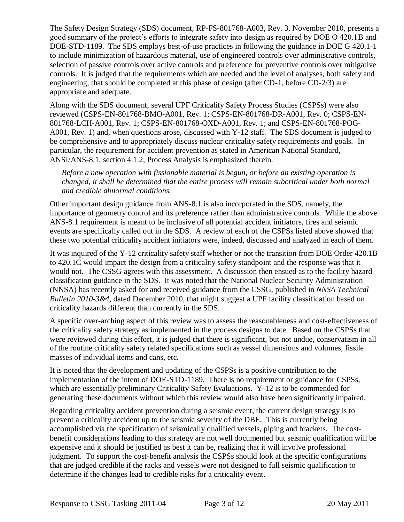The Safety Design Strategy (SDS) document, RP-FS-801768-A003, Rev. 3, November 2010, presents a good summary of the project's efforts to integrate safety into design as required by DOE O 420.1B and DOE-STD-1189. The SDS employs best-of-use practices in following the guidance in DOE G 420.1-1 to include minimization of hazardous material, use of engineered controls over administrative controls, selection of passive controls over active controls and preference for preventive controls over mitigative controls. It is judged that the requirements which are needed and the level of analyses, both safety and engineering, that should be completed at this phase of design (after CD-1, before CD-2/3) are appropriate and adequate.

Along with the SDS document, several UPF Criticality Safety Process Studies (CSPSs) were also reviewed (CSPS-EN-801768-BMO-A001, Rev. 1; CSPS-EN-801768-DR-A001, Rev. 0; CSPS-EN-801768-LCH-A001, Rev. 1; CSPS-EN-801768-OXD-A001, Rev. 1; and CSPS-EN-801768-POG-A001, Rev. 1) and, when questions arose, discussed with Y-12 staff. The SDS document is judged to be comprehensive and to appropriately discuss nuclear criticality safety requirements and goals. In particular, the requirement for accident prevention as stated in American National Standard, ANSI/ANS-8.1, section 4.1.2, Process Analysis is emphasized therein:

*Before a new operation with fissionable material is begun, or before an existing operation is changed, it shall be determined that the entire process will remain subcritical under both normal and credible abnormal conditions.*

Other important design guidance from ANS-8.1 is also incorporated in the SDS, namely, the importance of geometry control and its preference rather than administrative controls. While the above ANS-8.1 requirement is meant to be inclusive of all potential accident initiators, fires and seismic events are specifically called out in the SDS. A review of each of the CSPSs listed above showed that these two potential criticality accident initiators were, indeed, discussed and analyzed in each of them.

It was inquired of the Y-12 criticality safety staff whether or not the transition from DOE Order 420.1B to 420.1C would impact the design from a criticality safety standpoint and the response was that it would not. The CSSG agrees with this assessment. A discussion then ensued as to the facility hazard classification guidance in the SDS. It was noted that the National Nuclear Security Administration (NNSA) has recently asked for and received guidance from the CSSG, published in *NNSA Technical Bulletin 2010-3&4*, dated December 2010, that might suggest a UPF facility classification based on criticality hazards different than currently in the SDS.

A specific over-arching aspect of this review was to assess the reasonableness and cost-effectiveness of the criticality safety strategy as implemented in the process designs to date. Based on the CSPSs that were reviewed during this effort, it is judged that there is significant, but not undue, conservatism in all of the routine criticality safety related specifications such as vessel dimensions and volumes, fissile masses of individual items and cans, etc.

It is noted that the development and updating of the CSPSs is a positive contribution to the implementation of the intent of DOE-STD-1189. There is no requirement or guidance for CSPSs, which are essentially preliminary Criticality Safety Evaluations. Y-12 is to be commended for generating these documents without which this review would also have been significantly impaired.

Regarding criticality accident prevention during a seismic event, the current design strategy is to prevent a criticality accident up to the seismic severity of the DBE. This is currently being accomplished via the specification of seismically qualified vessels, piping and brackets. The costbenefit considerations leading to this strategy are not well documented but seismic qualification will be expensive and it should be justified as best it can be, realizing that it will involve professional judgment. To support the cost-benefit analysis the CSPSs should look at the specific configurations that are judged credible if the racks and vessels were not designed to full seismic qualification to determine if the changes lead to credible risks for a criticality event.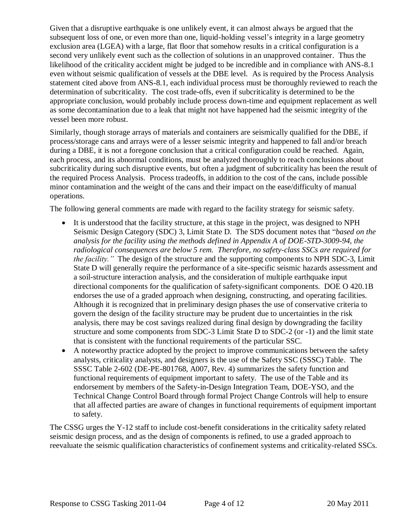Given that a disruptive earthquake is one unlikely event, it can almost always be argued that the subsequent loss of one, or even more than one, liquid-holding vessel's integrity in a large geometry exclusion area (LGEA) with a large, flat floor that somehow results in a critical configuration is a second very unlikely event such as the collection of solutions in an unapproved container. Thus the likelihood of the criticality accident might be judged to be incredible and in compliance with ANS-8.1 even without seismic qualification of vessels at the DBE level. As is required by the Process Analysis statement cited above from ANS-8.1, each individual process must be thoroughly reviewed to reach the determination of subcriticality. The cost trade-offs, even if subcriticality is determined to be the appropriate conclusion, would probably include process down-time and equipment replacement as well as some decontamination due to a leak that might not have happened had the seismic integrity of the vessel been more robust.

Similarly, though storage arrays of materials and containers are seismically qualified for the DBE, if process/storage cans and arrays were of a lesser seismic integrity and happened to fall and/or breach during a DBE, it is not a foregone conclusion that a critical configuration could be reached. Again, each process, and its abnormal conditions, must be analyzed thoroughly to reach conclusions about subcriticality during such disruptive events, but often a judgment of subcriticality has been the result of the required Process Analysis. Process tradeoffs, in addition to the cost of the cans, include possible minor contamination and the weight of the cans and their impact on the ease/difficulty of manual operations.

The following general comments are made with regard to the facility strategy for seismic safety.

- It is understood that the facility structure, at this stage in the project, was designed to NPH Seismic Design Category (SDC) 3, Limit State D. The SDS document notes that "*based on the analysis for the facility using the methods defined in Appendix A of DOE-STD-3009-94, the radiological consequences are below 5 rem. Therefore, no safety-class SSCs are required for the facility."* The design of the structure and the supporting components to NPH SDC-3, Limit State D will generally require the performance of a site-specific seismic hazards assessment and a soil-structure interaction analysis, and the consideration of multiple earthquake input directional components for the qualification of safety-significant components. DOE O 420.1B endorses the use of a graded approach when designing, constructing, and operating facilities. Although it is recognized that in preliminary design phases the use of conservative criteria to govern the design of the facility structure may be prudent due to uncertainties in the risk analysis, there may be cost savings realized during final design by downgrading the facility structure and some components from SDC-3 Limit State D to SDC-2 (or -1) and the limit state that is consistent with the functional requirements of the particular SSC.
- A noteworthy practice adopted by the project to improve communications between the safety analysts, criticality analysts, and designers is the use of the Safety SSC (SSSC) Table. The SSSC Table 2-602 (DE-PE-801768, A007, Rev. 4) summarizes the safety function and functional requirements of equipment important to safety. The use of the Table and its endorsement by members of the Safety-in-Design Integration Team, DOE-YSO, and the Technical Change Control Board through formal Project Change Controls will help to ensure that all affected parties are aware of changes in functional requirements of equipment important to safety.

The CSSG urges the Y-12 staff to include cost-benefit considerations in the criticality safety related seismic design process, and as the design of components is refined, to use a graded approach to reevaluate the seismic qualification characteristics of confinement systems and criticality-related SSCs.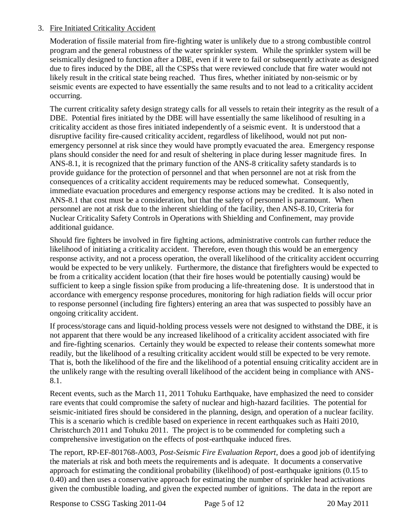# 3. Fire Initiated Criticality Accident

Moderation of fissile material from fire-fighting water is unlikely due to a strong combustible control program and the general robustness of the water sprinkler system. While the sprinkler system will be seismically designed to function after a DBE, even if it were to fail or subsequently activate as designed due to fires induced by the DBE, all the CSPSs that were reviewed conclude that fire water would not likely result in the critical state being reached. Thus fires, whether initiated by non-seismic or by seismic events are expected to have essentially the same results and to not lead to a criticality accident occurring.

The current criticality safety design strategy calls for all vessels to retain their integrity as the result of a DBE. Potential fires initiated by the DBE will have essentially the same likelihood of resulting in a criticality accident as those fires initiated independently of a seismic event. It is understood that a disruptive facility fire-caused criticality accident, regardless of likelihood, would not put nonemergency personnel at risk since they would have promptly evacuated the area. Emergency response plans should consider the need for and result of sheltering in place during lesser magnitude fires. In ANS-8.1, it is recognized that the primary function of the ANS-8 criticality safety standards is to provide guidance for the protection of personnel and that when personnel are not at risk from the consequences of a criticality accident requirements may be reduced somewhat. Consequently, immediate evacuation procedures and emergency response actions may be credited. It is also noted in ANS-8.1 that cost must be a consideration, but that the safety of personnel is paramount. When personnel are not at risk due to the inherent shielding of the facility, then ANS-8.10, Criteria for Nuclear Criticality Safety Controls in Operations with Shielding and Confinement, may provide additional guidance.

Should fire fighters be involved in fire fighting actions, administrative controls can further reduce the likelihood of initiating a criticality accident. Therefore, even though this would be an emergency response activity, and not a process operation, the overall likelihood of the criticality accident occurring would be expected to be very unlikely. Furthermore, the distance that firefighters would be expected to be from a criticality accident location (that their fire hoses would be potentially causing) would be sufficient to keep a single fission spike from producing a life-threatening dose. It is understood that in accordance with emergency response procedures, monitoring for high radiation fields will occur prior to response personnel (including fire fighters) entering an area that was suspected to possibly have an ongoing criticality accident.

If process/storage cans and liquid-holding process vessels were not designed to withstand the DBE, it is not apparent that there would be any increased likelihood of a criticality accident associated with fire and fire-fighting scenarios. Certainly they would be expected to release their contents somewhat more readily, but the likelihood of a resulting criticality accident would still be expected to be very remote. That is, both the likelihood of the fire and the likelihood of a potential ensuing criticality accident are in the unlikely range with the resulting overall likelihood of the accident being in compliance with ANS-8.1.

Recent events, such as the March 11, 2011 Tohuku Earthquake, have emphasized the need to consider rare events that could compromise the safety of nuclear and high-hazard facilities. The potential for seismic-initiated fires should be considered in the planning, design, and operation of a nuclear facility. This is a scenario which is credible based on experience in recent earthquakes such as Haiti 2010, Christchurch 2011 and Tohuku 2011. The project is to be commended for completing such a comprehensive investigation on the effects of post-earthquake induced fires.

The report, RP-EF-801768-A003, *Post-Seismic Fire Evaluation Report*, does a good job of identifying the materials at risk and both meets the requirements and is adequate. It documents a conservative approach for estimating the conditional probability (likelihood) of post-earthquake ignitions (0.15 to 0.40) and then uses a conservative approach for estimating the number of sprinkler head activations given the combustible loading, and given the expected number of ignitions. The data in the report are

Response to CSSG Tasking 2011-04 Page 5 of 12 20 May 2011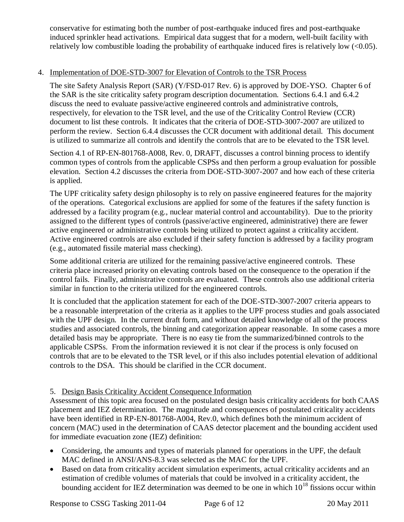conservative for estimating both the number of post-earthquake induced fires and post-earthquake induced sprinkler head activations. Empirical data suggest that for a modern, well-built facility with relatively low combustible loading the probability of earthquake induced fires is relatively low (<0.05).

# 4. Implementation of DOE-STD-3007 for Elevation of Controls to the TSR Process

The site Safety Analysis Report (SAR) (Y/FSD-017 Rev. 6) is approved by DOE-YSO. Chapter 6 of the SAR is the site criticality safety program description documentation. Sections 6.4.1 and 6.4.2 discuss the need to evaluate passive/active engineered controls and administrative controls, respectively, for elevation to the TSR level, and the use of the Criticality Control Review (CCR) document to list these controls. It indicates that the criteria of DOE-STD-3007-2007 are utilized to perform the review. Section 6.4.4 discusses the CCR document with additional detail. This document is utilized to summarize all controls and identify the controls that are to be elevated to the TSR level.

Section 4.1 of RP-EN-801768-A008, Rev. 0, DRAFT, discusses a control binning process to identify common types of controls from the applicable CSPSs and then perform a group evaluation for possible elevation. Section 4.2 discusses the criteria from DOE-STD-3007-2007 and how each of these criteria is applied.

The UPF criticality safety design philosophy is to rely on passive engineered features for the majority of the operations. Categorical exclusions are applied for some of the features if the safety function is addressed by a facility program (e.g., nuclear material control and accountability). Due to the priority assigned to the different types of controls (passive/active engineered, administrative) there are fewer active engineered or administrative controls being utilized to protect against a criticality accident. Active engineered controls are also excluded if their safety function is addressed by a facility program (e.g., automated fissile material mass checking).

Some additional criteria are utilized for the remaining passive/active engineered controls. These criteria place increased priority on elevating controls based on the consequence to the operation if the control fails. Finally, administrative controls are evaluated. These controls also use additional criteria similar in function to the criteria utilized for the engineered controls.

It is concluded that the application statement for each of the DOE-STD-3007-2007 criteria appears to be a reasonable interpretation of the criteria as it applies to the UPF process studies and goals associated with the UPF design. In the current draft form, and without detailed knowledge of all of the process studies and associated controls, the binning and categorization appear reasonable. In some cases a more detailed basis may be appropriate. There is no easy tie from the summarized/binned controls to the applicable CSPSs. From the information reviewed it is not clear if the process is only focused on controls that are to be elevated to the TSR level, or if this also includes potential elevation of additional controls to the DSA. This should be clarified in the CCR document.

# 5. Design Basis Criticality Accident Consequence Information

Assessment of this topic area focused on the postulated design basis criticality accidents for both CAAS placement and IEZ determination. The magnitude and consequences of postulated criticality accidents have been identified in RP-EN-801768-A004, Rev.0, which defines both the minimum accident of concern (MAC) used in the determination of CAAS detector placement and the bounding accident used for immediate evacuation zone (IEZ) definition:

- Considering, the amounts and types of materials planned for operations in the UPF, the default MAC defined in ANSI/ANS-8.3 was selected as the MAC for the UPF.
- Based on data from criticality accident simulation experiments, actual criticality accidents and an estimation of credible volumes of materials that could be involved in a criticality accident, the bounding accident for IEZ determination was deemed to be one in which  $10^{18}$  fissions occur within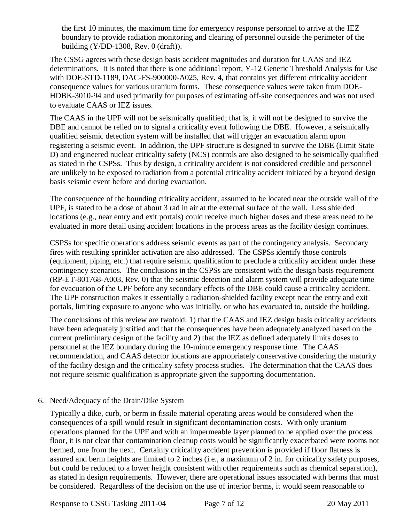the first 10 minutes, the maximum time for emergency response personnel to arrive at the IEZ boundary to provide radiation monitoring and clearing of personnel outside the perimeter of the building  $(Y/DD-1308, Rev. 0 (draff)).$ 

The CSSG agrees with these design basis accident magnitudes and duration for CAAS and IEZ determinations. It is noted that there is one additional report, Y-12 Generic Threshold Analysis for Use with DOE-STD-1189, DAC-FS-900000-A025, Rev. 4, that contains yet different criticality accident consequence values for various uranium forms. These consequence values were taken from DOE-HDBK-3010-94 and used primarily for purposes of estimating off-site consequences and was not used to evaluate CAAS or IEZ issues.

The CAAS in the UPF will not be seismically qualified; that is, it will not be designed to survive the DBE and cannot be relied on to signal a criticality event following the DBE. However, a seismically qualified seismic detection system will be installed that will trigger an evacuation alarm upon registering a seismic event. In addition, the UPF structure is designed to survive the DBE (Limit State D) and engineered nuclear criticality safety (NCS) controls are also designed to be seismically qualified as stated in the CSPSs. Thus by design, a criticality accident is not considered credible and personnel are unlikely to be exposed to radiation from a potential criticality accident initiated by a beyond design basis seismic event before and during evacuation.

The consequence of the bounding criticality accident, assumed to be located near the outside wall of the UPF, is stated to be a dose of about 3 rad in air at the external surface of the wall. Less shielded locations (e.g., near entry and exit portals) could receive much higher doses and these areas need to be evaluated in more detail using accident locations in the process areas as the facility design continues.

CSPSs for specific operations address seismic events as part of the contingency analysis. Secondary fires with resulting sprinkler activation are also addressed. The CSPSs identify those controls (equipment, piping, etc.) that require seismic qualification to preclude a criticality accident under these contingency scenarios. The conclusions in the CSPSs are consistent with the design basis requirement (RP-ET-801768-A003, Rev. 0) that the seismic detection and alarm system will provide adequate time for evacuation of the UPF before any secondary effects of the DBE could cause a criticality accident. The UPF construction makes it essentially a radiation-shielded facility except near the entry and exit portals, limiting exposure to anyone who was initially, or who has evacuated to, outside the building.

The conclusions of this review are twofold: 1) that the CAAS and IEZ design basis criticality accidents have been adequately justified and that the consequences have been adequately analyzed based on the current preliminary design of the facility and 2) that the IEZ as defined adequately limits doses to personnel at the IEZ boundary during the 10-minute emergency response time. The CAAS recommendation, and CAAS detector locations are appropriately conservative considering the maturity of the facility design and the criticality safety process studies. The determination that the CAAS does not require seismic qualification is appropriate given the supporting documentation.

# 6. Need/Adequacy of the Drain/Dike System

Typically a dike, curb, or berm in fissile material operating areas would be considered when the consequences of a spill would result in significant decontamination costs. With only uranium operations planned for the UPF and with an impermeable layer planned to be applied over the process floor, it is not clear that contamination cleanup costs would be significantly exacerbated were rooms not bermed, one from the next. Certainly criticality accident prevention is provided if floor flatness is assured and berm heights are limited to 2 inches (i.e., a maximum of 2 in. for criticality safety purposes, but could be reduced to a lower height consistent with other requirements such as chemical separation), as stated in design requirements. However, there are operational issues associated with berms that must be considered. Regardless of the decision on the use of interior berms, it would seem reasonable to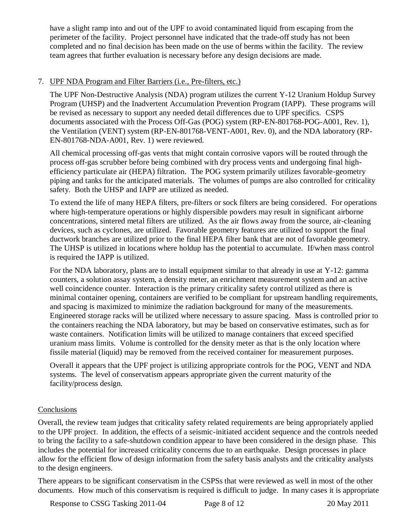have a slight ramp into and out of the UPF to avoid contaminated liquid from escaping from the perimeter of the facility. Project personnel have indicated that the trade-off study has not been completed and no final decision has been made on the use of berms within the facility. The review team agrees that further evaluation is necessary before any design decisions are made.

# 7. UPF NDA Program and Filter Barriers (i.e., Pre-filters, etc.)

The UPF Non-Destructive Analysis (NDA) program utilizes the current Y-12 Uranium Holdup Survey Program (UHSP) and the Inadvertent Accumulation Prevention Program (IAPP). These programs will be revised as necessary to support any needed detail differences due to UPF specifics. CSPS documents associated with the Process Off-Gas (POG) system (RP-EN-801768-POG-A001, Rev. 1), the Ventilation (VENT) system (RP-EN-801768-VENT-A001, Rev. 0), and the NDA laboratory (RP-EN-801768-NDA-A001, Rev. 1) were reviewed.

All chemical processing off-gas vents that might contain corrosive vapors will be routed through the process off-gas scrubber before being combined with dry process vents and undergoing final highefficiency particulate air (HEPA) filtration. The POG system primarily utilizes favorable-geometry piping and tanks for the anticipated materials. The volumes of pumps are also controlled for criticality safety. Both the UHSP and IAPP are utilized as needed.

To extend the life of many HEPA filters, pre-filters or sock filters are being considered. For operations where high-temperature operations or highly dispersible powders may result in significant airborne concentrations, sintered metal filters are utilized. As the air flows away from the source, air-cleaning devices, such as cyclones, are utilized. Favorable geometry features are utilized to support the final ductwork branches are utilized prior to the final HEPA filter bank that are not of favorable geometry. The UHSP is utilized in locations where holdup has the potential to accumulate. If/when mass control is required the IAPP is utilized.

For the NDA laboratory, plans are to install equipment similar to that already in use at Y-12: gamma counters, a solution assay system, a density meter, an enrichment measurement system and an active well coincidence counter. Interaction is the primary criticality safety control utilized as there is minimal container opening, containers are verified to be compliant for upstream handling requirements, and spacing is maximized to minimize the radiation background for many of the measurements. Engineered storage racks will be utilized where necessary to assure spacing. Mass is controlled prior to the containers reaching the NDA laboratory, but may be based on conservative estimates, such as for waste containers. Notification limits will be utilized to manage containers that exceed specified uranium mass limits. Volume is controlled for the density meter as that is the only location where fissile material (liquid) may be removed from the received container for measurement purposes.

Overall it appears that the UPF project is utilizing appropriate controls for the POG, VENT and NDA systems. The level of conservatism appears appropriate given the current maturity of the facility/process design.

# **Conclusions**

Overall, the review team judges that criticality safety related requirements are being appropriately applied to the UPF project. In addition, the effects of a seismic-initiated accident sequence and the controls needed to bring the facility to a safe-shutdown condition appear to have been considered in the design phase. This includes the potential for increased criticality concerns due to an earthquake. Design processes in place allow for the efficient flow of design information from the safety basis analysts and the criticality analysts to the design engineers.

There appears to be significant conservatism in the CSPSs that were reviewed as well in most of the other documents. How much of this conservatism is required is difficult to judge. In many cases it is appropriate

Response to CSSG Tasking 2011-04 Page 8 of 12 20 May 2011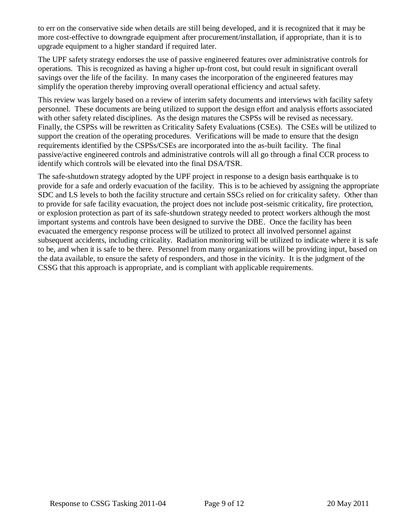to err on the conservative side when details are still being developed, and it is recognized that it may be more cost-effective to downgrade equipment after procurement/installation, if appropriate, than it is to upgrade equipment to a higher standard if required later.

The UPF safety strategy endorses the use of passive engineered features over administrative controls for operations. This is recognized as having a higher up-front cost, but could result in significant overall savings over the life of the facility. In many cases the incorporation of the engineered features may simplify the operation thereby improving overall operational efficiency and actual safety.

This review was largely based on a review of interim safety documents and interviews with facility safety personnel. These documents are being utilized to support the design effort and analysis efforts associated with other safety related disciplines. As the design matures the CSPSs will be revised as necessary. Finally, the CSPSs will be rewritten as Criticality Safety Evaluations (CSEs). The CSEs will be utilized to support the creation of the operating procedures. Verifications will be made to ensure that the design requirements identified by the CSPSs/CSEs are incorporated into the as-built facility. The final passive/active engineered controls and administrative controls will all go through a final CCR process to identify which controls will be elevated into the final DSA/TSR.

The safe-shutdown strategy adopted by the UPF project in response to a design basis earthquake is to provide for a safe and orderly evacuation of the facility. This is to be achieved by assigning the appropriate SDC and LS levels to both the facility structure and certain SSCs relied on for criticality safety. Other than to provide for safe facility evacuation, the project does not include post-seismic criticality, fire protection, or explosion protection as part of its safe-shutdown strategy needed to protect workers although the most important systems and controls have been designed to survive the DBE.Once the facility has been evacuated the emergency response process will be utilized to protect all involved personnel against subsequent accidents, including criticality. Radiation monitoring will be utilized to indicate where it is safe to be, and when it is safe to be there. Personnel from many organizations will be providing input, based on the data available, to ensure the safety of responders, and those in the vicinity. It is the judgment of the CSSG that this approach is appropriate, and is compliant with applicable requirements.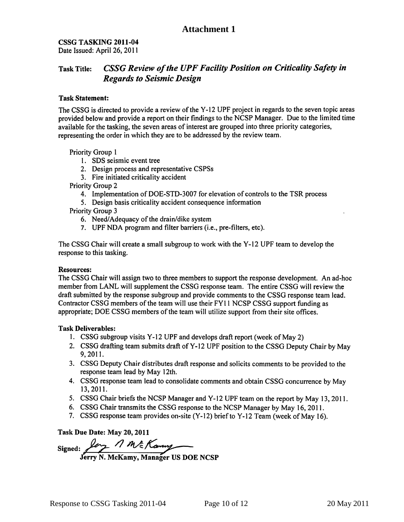CSSG TASKING 2011-04 Date Issued: April 26, 2011

#### **CSSG Review of the UPF Facility Position on Criticality Safety in Task Title: Regards to Seismic Design**

#### **Task Statement:**

The CSSG is directed to provide a review of the Y-12 UPF project in regards to the seven topic areas provided below and provide a report on their findings to the NCSP Manager. Due to the limited time available for the tasking, the seven areas of interest are grouped into three priority categories, representing the order in which they are to be addressed by the review team.

Priority Group 1

- 1. SDS seismic event tree
- 2. Design process and representative CSPSs
- 3. Fire initiated criticality accident

Priority Group 2

- 4. Implementation of DOE-STD-3007 for elevation of controls to the TSR process
- 5. Design basis criticality accident consequence information

Priority Group 3

- 6. Need/Adequacy of the drain/dike system
- 7. UPF NDA program and filter barriers (i.e., pre-filters, etc).

The CSSG Chair will create a small subgroup to work with the Y-12 UPF team to develop the response to this tasking.

#### **Resources:**

The CSSG Chair will assign two to three members to support the response development. An ad-hoc member from LANL will supplement the CSSG response team. The entire CSSG will review the draft submitted by the response subgroup and provide comments to the CSSG response team lead. Contractor CSSG members of the team will use their FY11 NCSP CSSG support funding as appropriate; DOE CSSG members of the team will utilize support from their site offices.

#### **Task Deliverables:**

- 1. CSSG subgroup visits Y-12 UPF and develops draft report (week of May 2)
- 2. CSSG drafting team submits draft of Y-12 UPF position to the CSSG Deputy Chair by May 9, 2011.
- 3. CSSG Deputy Chair distributes draft response and solicits comments to be provided to the response team lead by May 12th.
- 4. CSSG response team lead to consolidate comments and obtain CSSG concurrence by May 13, 2011.
- 5. CSSG Chair briefs the NCSP Manager and Y-12 UPF team on the report by May 13, 2011.
- 6. CSSG Chair transmits the CSSG response to the NCSP Manager by May 16, 2011.
- 7. CSSG response team provides on-site (Y-12) brief to Y-12 Team (week of May 16).

Task Due Date: May 20, 2011

Signed: for MR Kanny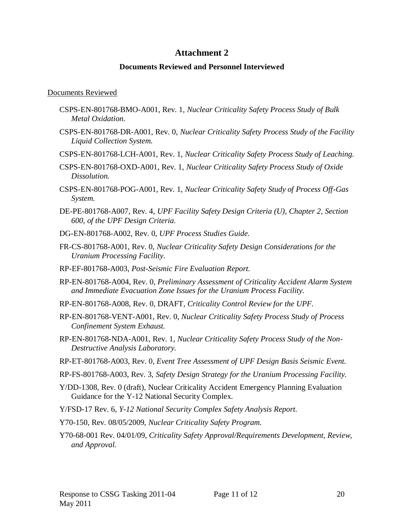# **Attachment 2**

#### **Documents Reviewed and Personnel Interviewed**

#### Documents Reviewed

- CSPS-EN-801768-BMO-A001, Rev. 1, *Nuclear Criticality Safety Process Study of Bulk Metal Oxidation.*
- CSPS-EN-801768-DR-A001, Rev. 0, *Nuclear Criticality Safety Process Study of the Facility Liquid Collection System.*
- CSPS-EN-801768-LCH-A001, Rev. 1, *Nuclear Criticality Safety Process Study of Leaching.*
- CSPS-EN-801768-OXD-A001, Rev. 1, *Nuclear Criticality Safety Process Study of Oxide Dissolution.*
- CSPS-EN-801768-POG-A001, Rev. 1, *Nuclear Criticality Safety Study of Process Off-Gas System.*
- DE-PE-801768-A007, Rev. 4, *UPF Facility Safety Design Criteria (U), Chapter 2, Section 600, of the UPF Design Criteria.*
- DG-EN-801768-A002, Rev. 0, *UPF Process Studies Guide.*
- FR-CS-801768-A001, Rev. 0, *Nuclear Criticality Safety Design Considerations for the Uranium Processing Facility.*
- RP-EF-801768-A003, *Post-Seismic Fire Evaluation Report.*
- RP-EN-801768-A004, Rev. 0, *Preliminary Assessment of Criticality Accident Alarm System and Immediate Evacuation Zone Issues for the Uranium Process Facility.*
- RP-EN-801768-A008, Rev. 0, DRAFT, *Criticality Control Review for the UPF.*
- RP-EN-801768-VENT-A001, Rev. 0, *Nuclear Criticality Safety Process Study of Process Confinement System Exhaust.*
- RP-EN-801768-NDA-A001, Rev. 1, *Nuclear Criticality Safety Process Study of the Non-Destructive Analysis Laboratory.*
- RP-ET-801768-A003, Rev. 0*, Event Tree Assessment of UPF Design Basis Seismic Event.*
- RP-FS-801768-A003, Rev. 3, *Safety Design Strategy for the Uranium Processing Facility.*
- Y/DD-1308, Rev. 0 (draft), Nuclear Criticality Accident Emergency Planning Evaluation Guidance for the Y-12 National Security Complex.
- Y/FSD-17 Rev. 6, *Y-12 National Security Complex Safety Analysis Report.*
- Y70-150, Rev. 08/05/2009, *Nuclear Criticality Safety Program.*
- Y70-68-001 Rev. 04/01/09, *Criticality Safety Approval/Requirements Development, Review, and Approval.*